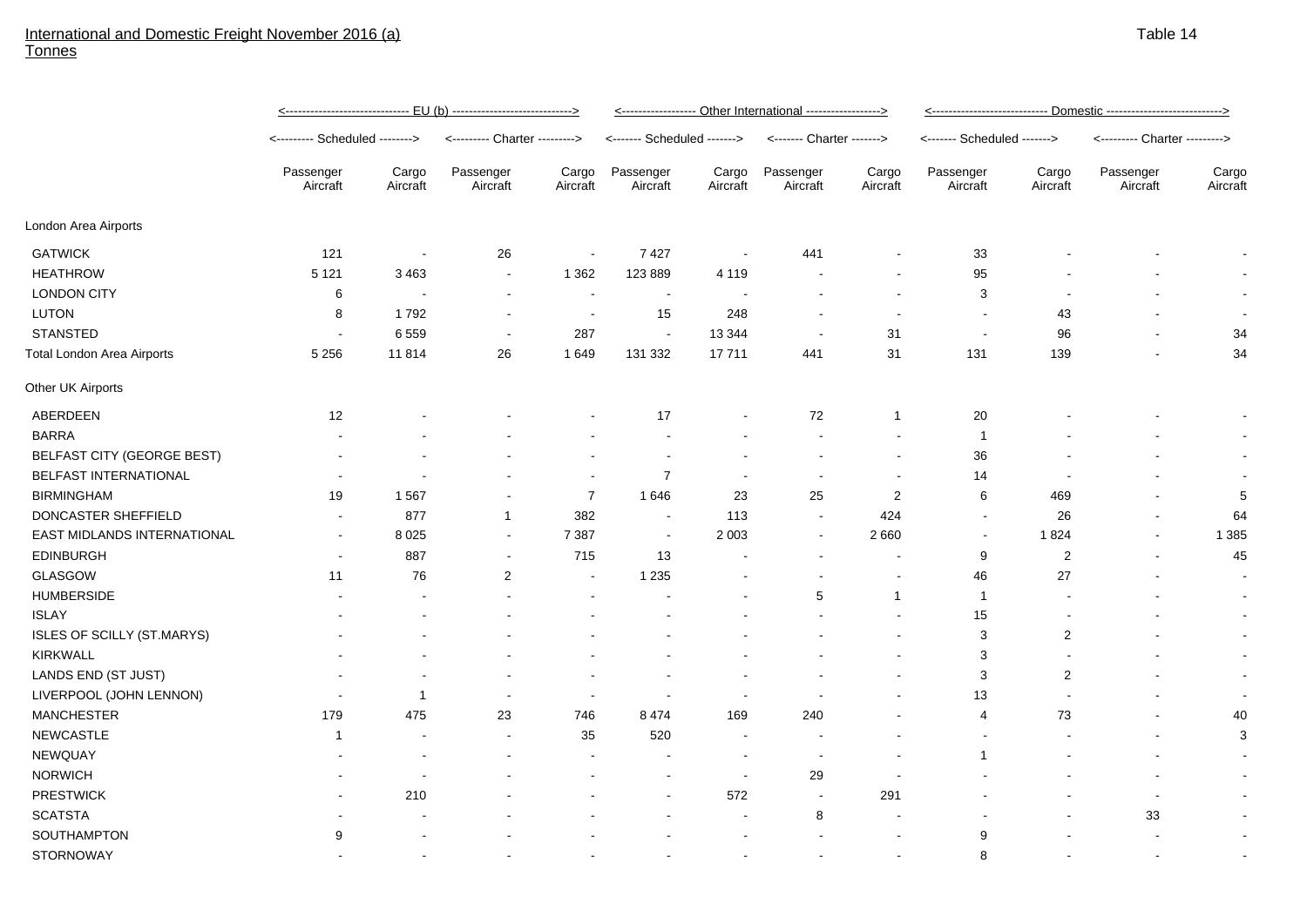## International and Domestic Freight November 2016 (a) Tonnes

|                                   | Passenger<br>Aircraft    | Cargo<br>Aircraft | Passenger<br>Aircraft    | Cargo<br>Aircraft        | Passenger<br>Aircraft | Cargo<br>Aircraft        | Passenger<br>Aircraft    | Cargo<br>Aircraft        | Passenger<br>Aircraft    | Cargo<br>Aircraft        | Passenger<br>Aircraft    | Cargo<br>Aircraft |
|-----------------------------------|--------------------------|-------------------|--------------------------|--------------------------|-----------------------|--------------------------|--------------------------|--------------------------|--------------------------|--------------------------|--------------------------|-------------------|
| London Area Airports              |                          |                   |                          |                          |                       |                          |                          |                          |                          |                          |                          |                   |
| <b>GATWICK</b>                    | 121                      |                   | 26                       | $\overline{\phantom{a}}$ | 7427                  | $\overline{\phantom{a}}$ | 441                      |                          | 33                       |                          |                          |                   |
| <b>HEATHROW</b>                   | 5 1 2 1                  | 3 4 6 3           | $\blacksquare$           | 1 3 6 2                  | 123 889               | 4 1 1 9                  |                          |                          | 95                       |                          |                          |                   |
| <b>LONDON CITY</b>                | 6                        |                   | $\blacksquare$           | $\blacksquare$           | $\sim$                | $\overline{\phantom{a}}$ |                          |                          | 3                        |                          |                          |                   |
| LUTON                             | 8                        | 1792              | $\blacksquare$           | $\overline{\phantom{a}}$ | 15                    | 248                      |                          |                          | $\overline{\phantom{a}}$ | 43                       |                          |                   |
| <b>STANSTED</b>                   | $\overline{\phantom{a}}$ | 6559              | $\blacksquare$           | 287                      | $\sim$                | 13 3 44                  |                          | 31                       | $\overline{\phantom{a}}$ | 96                       |                          | 34                |
| Total London Area Airports        | 5 2 5 6                  | 11814             | 26                       | 1649                     | 131 332               | 17711                    | 441                      | 31                       | 131                      | 139                      |                          | 34                |
| Other UK Airports                 |                          |                   |                          |                          |                       |                          |                          |                          |                          |                          |                          |                   |
| ABERDEEN                          | 12                       |                   |                          |                          | 17                    |                          | 72                       | $\mathbf 1$              | 20                       |                          |                          |                   |
| <b>BARRA</b>                      |                          |                   |                          |                          |                       |                          |                          |                          | $\overline{1}$           |                          |                          |                   |
| BELFAST CITY (GEORGE BEST)        |                          |                   |                          |                          |                       |                          |                          |                          | 36                       |                          |                          |                   |
| BELFAST INTERNATIONAL             |                          |                   |                          | $\overline{\phantom{a}}$ | $\overline{7}$        | $\overline{\phantom{a}}$ | $\overline{\phantom{a}}$ |                          | 14                       |                          |                          |                   |
| <b>BIRMINGHAM</b>                 | 19                       | 1567              | ٠                        | $\overline{7}$           | 1646                  | 23                       | 25                       | $\overline{2}$           | 6                        | 469                      |                          | 5                 |
| DONCASTER SHEFFIELD               | $\overline{\phantom{a}}$ | 877               | $\overline{1}$           | 382                      | $\sim$                | 113                      | $\sim$                   | 424                      | $\blacksquare$           | 26                       | $\overline{\phantom{a}}$ | 64                |
| EAST MIDLANDS INTERNATIONAL       | $\sim$                   | 8 0 2 5           | $\blacksquare$           | 7 3 8 7                  | $\sim$                | 2 0 0 3                  | $\sim$                   | 2660                     | $\overline{\phantom{a}}$ | 1824                     | $\blacksquare$           | 1 3 8 5           |
| <b>EDINBURGH</b>                  | $\overline{\phantom{a}}$ | 887               | $\blacksquare$           | 715                      | 13                    |                          |                          |                          | 9                        | $\overline{\mathbf{c}}$  | $\overline{\phantom{a}}$ | 45                |
| GLASGOW                           | 11                       | 76                | $\sqrt{2}$               | $\sim$                   | 1 2 3 5               |                          |                          |                          | 46                       | 27                       | $\sim$                   | $\blacksquare$    |
| <b>HUMBERSIDE</b>                 |                          |                   |                          |                          |                       |                          | 5                        | -1                       | $\overline{1}$           |                          |                          |                   |
| <b>ISLAY</b>                      |                          |                   |                          |                          |                       |                          |                          |                          | 15                       |                          |                          |                   |
| <b>ISLES OF SCILLY (ST.MARYS)</b> |                          |                   |                          |                          |                       |                          |                          |                          | 3                        | 2                        |                          |                   |
| <b>KIRKWALL</b>                   |                          |                   |                          |                          |                       |                          |                          |                          | 3                        |                          |                          |                   |
| LANDS END (ST JUST)               |                          |                   |                          |                          |                       |                          |                          |                          | 3                        | 2                        |                          |                   |
| LIVERPOOL (JOHN LENNON)           | $\overline{\phantom{a}}$ | $\overline{1}$    | $\overline{\phantom{a}}$ | . —                      |                       |                          |                          |                          | 13                       | $\overline{\phantom{a}}$ |                          |                   |
| <b>MANCHESTER</b>                 | 179                      | 475               | 23                       | 746                      | 8474                  | 169                      | 240                      |                          | $\overline{4}$           | 73                       |                          | 40                |
| <b>NEWCASTLE</b>                  | $\overline{1}$           |                   | $\overline{\phantom{a}}$ | 35                       | 520                   | $\overline{\phantom{a}}$ |                          |                          | $\overline{\phantom{a}}$ |                          | $\overline{a}$           | $\mathbf{3}$      |
| <b>NEWQUAY</b>                    |                          |                   |                          | $\overline{\phantom{a}}$ |                       | $\overline{\phantom{a}}$ | $\sim$                   |                          | $\overline{1}$           |                          |                          | $\blacksquare$    |
| <b>NORWICH</b>                    |                          |                   |                          |                          |                       | $\sim$                   | 29                       |                          |                          |                          |                          | $\blacksquare$    |
| <b>PRESTWICK</b>                  | $\overline{\phantom{a}}$ | 210               |                          |                          |                       | 572                      | $\sim$                   | 291                      |                          |                          | $\overline{\phantom{a}}$ |                   |
| <b>SCATSTA</b>                    |                          |                   |                          |                          |                       | $\overline{\phantom{a}}$ | 8                        |                          |                          |                          | 33                       |                   |
| SOUTHAMPTON                       | 9                        |                   |                          |                          |                       |                          |                          |                          | 9                        |                          |                          |                   |
| <b>STORNOWAY</b>                  |                          |                   |                          |                          |                       |                          |                          | $\overline{\phantom{a}}$ | 8                        |                          | $\overline{a}$           |                   |